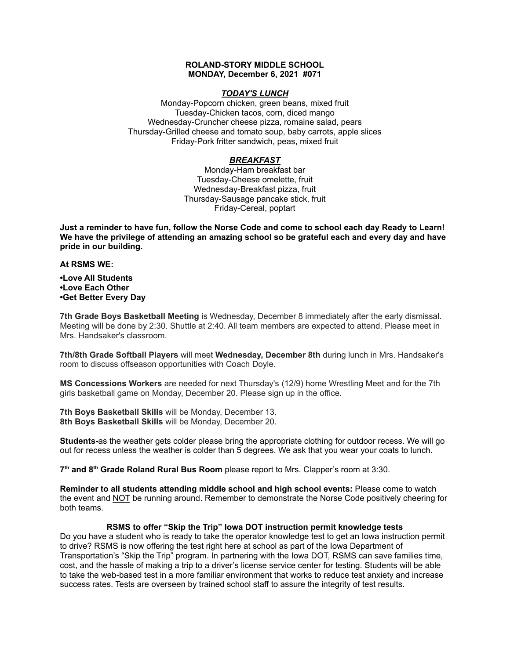## **ROLAND-STORY MIDDLE SCHOOL MONDAY, December 6, 2021 #071**

## *TODAY'S LUNCH*

Monday-Popcorn chicken, green beans, mixed fruit Tuesday-Chicken tacos, corn, diced mango Wednesday-Cruncher cheese pizza, romaine salad, pears Thursday-Grilled cheese and tomato soup, baby carrots, apple slices Friday-Pork fritter sandwich, peas, mixed fruit

## *BREAKFAST*

Monday-Ham breakfast bar Tuesday-Cheese omelette, fruit Wednesday-Breakfast pizza, fruit Thursday-Sausage pancake stick, fruit Friday-Cereal, poptart

Just a reminder to have fun, follow the Norse Code and come to school each day Ready to Learn! **We have the privilege of attending an amazing school so be grateful each and every day and have pride in our building.**

#### **At RSMS WE:**

## **•Love All Students •Love Each Other •Get Better Every Day**

**7th Grade Boys Basketball Meeting** is Wednesday, December 8 immediately after the early dismissal. Meeting will be done by 2:30. Shuttle at 2:40. All team members are expected to attend. Please meet in Mrs. Handsaker's classroom.

**7th/8th Grade Softball Players** will meet **Wednesday, December 8th** during lunch in Mrs. Handsaker's room to discuss offseason opportunities with Coach Doyle.

**MS Concessions Workers** are needed for next Thursday's (12/9) home Wrestling Meet and for the 7th girls basketball game on Monday, December 20. Please sign up in the office.

**7th Boys Basketball Skills** will be Monday, December 13. **8th Boys Basketball Skills** will be Monday, December 20.

**Students-**as the weather gets colder please bring the appropriate clothing for outdoor recess. We will go out for recess unless the weather is colder than 5 degrees. We ask that you wear your coats to lunch.

**7 th and 8 th Grade Roland Rural Bus Room** please report to Mrs. Clapper's room at 3:30.

**Reminder to all students attending middle school and high school events:** Please come to watch the event and NOT be running around. Remember to demonstrate the Norse Code positively cheering for both teams.

#### **RSMS to offer "Skip the Trip" Iowa DOT instruction permit knowledge tests**

Do you have a student who is ready to take the operator knowledge test to get an Iowa instruction permit to drive? RSMS is now offering the test right here at school as part of the Iowa Department of Transportation's "Skip the Trip" program. In partnering with the Iowa DOT, RSMS can save families time, cost, and the hassle of making a trip to a driver's license service center for testing. Students will be able to take the web-based test in a more familiar environment that works to reduce test anxiety and increase success rates. Tests are overseen by trained school staff to assure the integrity of test results.